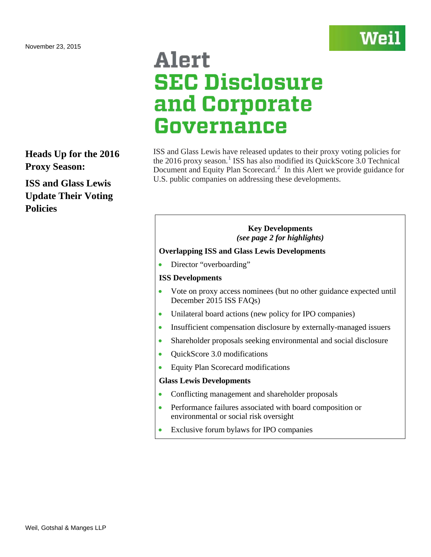<span id="page-0-0"></span>**Heads Up for the 2016 Proxy Season:**

**ISS and Glass Lewis Update Their Voting Policies**

# Alert **SEC Disclosure** and Corporate Governance

ISS and Glass Lewis have released updates to their proxy voting policies for the 20[1](#page-12-0)6 proxy season.<sup>1</sup> ISS has also modified its QuickScore 3.0 Technical Document and Equity Plan Scorecard.<sup>[2](#page-12-1)</sup> In this Alert we provide guidance for U.S. public companies on addressing these developments.

Wel

# **Key Developments** *(see page 2 for highlights)*

# **Overlapping ISS and Glass Lewis Developments**

• Director "overboarding"

# **ISS Developments**

- Vote on proxy access nominees (but no other guidance expected until December 2015 ISS FAQs)
- Unilateral board actions (new policy for IPO companies)
- Insufficient compensation disclosure by externally-managed issuers
- Shareholder proposals seeking environmental and social disclosure
- QuickScore 3.0 modifications
- Equity Plan Scorecard modifications

# **Glass Lewis Developments**

- Conflicting management and shareholder proposals
- Performance failures associated with board composition or environmental or social risk oversight
- Exclusive forum bylaws for IPO companies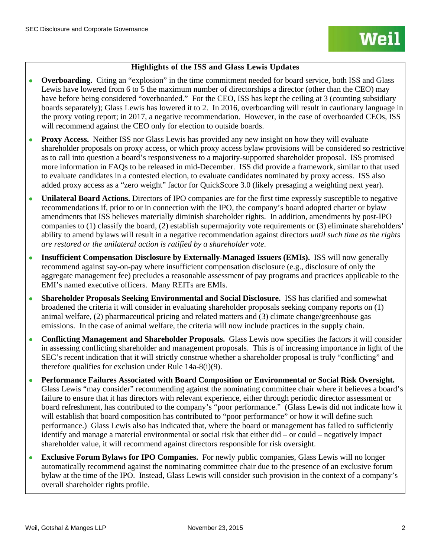# **Highlights of the ISS and Glass Lewis Updates**

- **Overboarding.** Citing an "explosion" in the time commitment needed for board service, both ISS and Glass Lewis have lowered from 6 to 5 the maximum number of directorships a director (other than the CEO) may have before being considered "overboarded." For the CEO, ISS has kept the ceiling at 3 (counting subsidiary boards separately); Glass Lewis has lowered it to 2. In 2016, overboarding will result in cautionary language in the proxy voting report; in 2017, a negative recommendation. However, in the case of overboarded CEOs, ISS will recommend against the CEO only for election to outside boards.
- **Proxy Access.** Neither ISS nor Glass Lewis has provided any new insight on how they will evaluate shareholder proposals on proxy access, or which proxy access bylaw provisions will be considered so restrictive as to call into question a board's responsiveness to a majority-supported shareholder proposal. ISS promised more information in FAQs to be released in mid-December. ISS did provide a framework, similar to that used to evaluate candidates in a contested election, to evaluate candidates nominated by proxy access. ISS also added proxy access as a "zero weight" factor for QuickScore 3.0 (likely presaging a weighting next year).
- **Unilateral Board Actions.** Directors of IPO companies are for the first time expressly susceptible to negative recommendations if, prior to or in connection with the IPO, the company's board adopted charter or bylaw amendments that ISS believes materially diminish shareholder rights. In addition, amendments by post-IPO companies to (1) classify the board, (2) establish supermajority vote requirements or (3) eliminate shareholders' ability to amend bylaws will result in a negative recommendation against directors *until such time as the rights are restored or the unilateral action is ratified by a shareholder vote*.
- **Insufficient Compensation Disclosure by Externally-Managed Issuers (EMIs).** ISS will now generally recommend against say-on-pay where insufficient compensation disclosure (e.g., disclosure of only the aggregate management fee) precludes a reasonable assessment of pay programs and practices applicable to the EMI's named executive officers. Many REITs are EMIs.
- **Shareholder Proposals Seeking Environmental and Social Disclosure.** ISS has clarified and somewhat broadened the criteria it will consider in evaluating shareholder proposals seeking company reports on (1) animal welfare, (2) pharmaceutical pricing and related matters and (3) climate change/greenhouse gas emissions. In the case of animal welfare, the criteria will now include practices in the supply chain.
- **Conflicting Management and Shareholder Proposals.** Glass Lewis now specifies the factors it will consider in assessing conflicting shareholder and management proposals. This is of increasing importance in light of the SEC's recent indication that it will strictly construe whether a shareholder proposal is truly "conflicting" and therefore qualifies for exclusion under Rule 14a-8(i)(9).
- **Performance Failures Associated with Board Composition or Environmental or Social Risk Oversight.**  Glass Lewis "may consider" recommending against the nominating committee chair where it believes a board's failure to ensure that it has directors with relevant experience, either through periodic director assessment or board refreshment, has contributed to the company's "poor performance." (Glass Lewis did not indicate how it will establish that board composition has contributed to "poor performance" or how it will define such performance.) Glass Lewis also has indicated that, where the board or management has failed to sufficiently identify and manage a material environmental or social risk that either did – or could – negatively impact shareholder value, it will recommend against directors responsible for risk oversight.
- **Exclusive Forum Bylaws for IPO Companies.** For newly public companies, Glass Lewis will no longer automatically recommend against the nominating committee chair due to the presence of an exclusive forum bylaw at the time of the IPO. Instead, Glass Lewis will consider such provision in the context of a company's overall shareholder rights profile.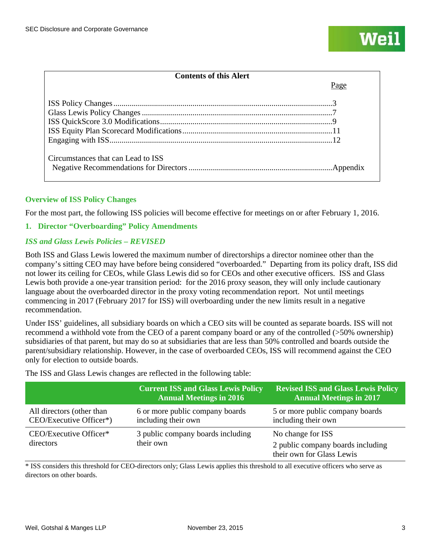$P<sub>909</sub>$ 

# **Contents of this Alert**

| Circumstances that can Lead to ISS |  |
|------------------------------------|--|

# **Overview of ISS Policy Changes**

For the most part, the following ISS policies will become effective for meetings on or after February 1, 2016.

# **1. Director "Overboarding" Policy Amendments**

# *ISS and Glass Lewis Policies – REVISED*

Both ISS and Glass Lewis lowered the maximum number of directorships a director nominee other than the company's sitting CEO may have before being considered "overboarded." Departing from its policy draft, ISS did not lower its ceiling for CEOs, while Glass Lewis did so for CEOs and other executive officers. ISS and Glass Lewis both provide a one-year transition period: for the 2016 proxy season, they will only include cautionary language about the overboarded director in the proxy voting recommendation report. Not until meetings commencing in 2017 (February 2017 for ISS) will overboarding under the new limits result in a negative recommendation.

Under ISS' guidelines, all subsidiary boards on which a CEO sits will be counted as separate boards. ISS will not recommend a withhold vote from the CEO of a parent company board or any of the controlled (>50% ownership) subsidiaries of that parent, but may do so at subsidiaries that are less than 50% controlled and boards outside the parent/subsidiary relationship. However, in the case of overboarded CEOs, ISS will recommend against the CEO only for election to outside boards.

The ISS and Glass Lewis changes are reflected in the following table:

|                                                      | Current ISS and Glass Lewis Policy<br><b>Annual Meetings in 2016</b> | <b>Revised ISS and Glass Lewis Policy</b><br><b>Annual Meetings in 2017</b>         |
|------------------------------------------------------|----------------------------------------------------------------------|-------------------------------------------------------------------------------------|
| All directors (other than<br>CEO/Executive Officer*) | 6 or more public company boards<br>including their own               | 5 or more public company boards<br>including their own                              |
| CEO/Executive Officer*<br>directors                  | 3 public company boards including<br>their own                       | No change for ISS<br>2 public company boards including<br>their own for Glass Lewis |

\* ISS considers this threshold for CEO-directors only; Glass Lewis applies this threshold to all executive officers who serve as directors on other boards.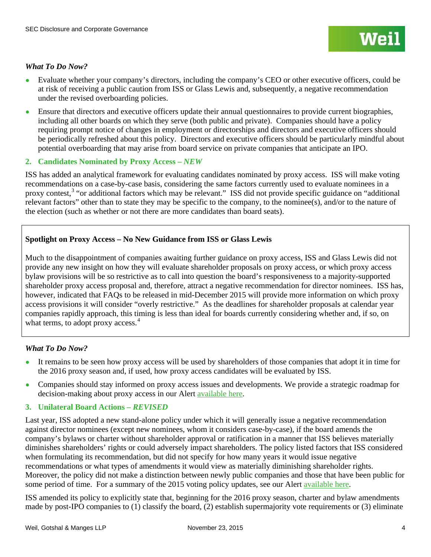- Evaluate whether your company's directors, including the company's CEO or other executive officers, could be at risk of receiving a public caution from ISS or Glass Lewis and, subsequently, a negative recommendation under the revised overboarding policies.
- Ensure that directors and executive officers update their annual questionnaires to provide current biographies, including all other boards on which they serve (both public and private). Companies should have a policy requiring prompt notice of changes in employment or directorships and directors and executive officers should be periodically refreshed about this policy. Directors and executive officers should be particularly mindful about potential overboarding that may arise from board service on private companies that anticipate an IPO.

# **2. Candidates Nominated by Proxy Access –** *NEW*

ISS has added an analytical framework for evaluating candidates nominated by proxy access. ISS will make voting recommendations on a case-by-case basis, considering the same factors currently used to evaluate nominees in a proxy contest,<sup>[3](#page-12-2)</sup> "or additional factors which may be relevant." ISS did not provide specific guidance on "additional relevant factors" other than to state they may be specific to the company, to the nominee(s), and/or to the nature of the election (such as whether or not there are more candidates than board seats).

# **Spotlight on Proxy Access – No New Guidance from ISS or Glass Lewis**

Much to the disappointment of companies awaiting further guidance on proxy access, ISS and Glass Lewis did not provide any new insight on how they will evaluate shareholder proposals on proxy access, or which proxy access bylaw provisions will be so restrictive as to call into question the board's responsiveness to a majority-supported shareholder proxy access proposal and, therefore, attract a negative recommendation for director nominees. ISS has, however, indicated that FAQs to be released in mid-December 2015 will provide more information on which proxy access provisions it will consider "overly restrictive." As the deadlines for shareholder proposals at calendar year companies rapidly approach, this timing is less than ideal for boards currently considering whether and, if so, on what terms, to adopt proxy access.<sup>[4](#page-12-3)</sup>

# *What To Do Now?*

- It remains to be seen how proxy access will be used by shareholders of those companies that adopt it in time for the 2016 proxy season and, if used, how proxy access candidates will be evaluated by ISS.
- Companies should stay informed on proxy access issues and developments. We provide a strategic roadmap for decision-making about proxy access in our Alert [available here.](http://www.weil.com/%7E/media/files/pdfs/150660_pcag_alert_oct2015_v15_final.pdf)

# **3. Unilateral Board Actions –** *REVISED*

Last year, ISS adopted a new stand-alone policy under which it will generally issue a negative recommendation against director nominees (except new nominees, whom it considers case-by-case), if the board amends the company's bylaws or charter without shareholder approval or ratification in a manner that ISS believes materially diminishes shareholders' rights or could adversely impact shareholders. The policy listed factors that ISS considered when formulating its recommendation, but did not specify for how many years it would issue negative recommendations or what types of amendments it would view as materially diminishing shareholder rights. Moreover, the policy did not make a distinction between newly public companies and those that have been public for some period of time. For a summary of the 2015 voting policy updates, see our Alert [available here.](http://www.weil.com/%7E/media/files/pdfs/pcag_alert_nov2014.pdf)

ISS amended its policy to explicitly state that, beginning for the 2016 proxy season, charter and bylaw amendments made by post-IPO companies to (1) classify the board, (2) establish supermajority vote requirements or (3) eliminate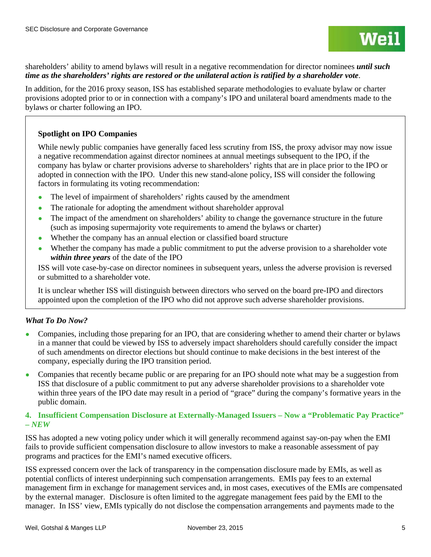shareholders' ability to amend bylaws will result in a negative recommendation for director nominees *until such time as the shareholders' rights are restored or the unilateral action is ratified by a shareholder vote*.

In addition, for the 2016 proxy season, ISS has established separate methodologies to evaluate bylaw or charter provisions adopted prior to or in connection with a company's IPO and unilateral board amendments made to the bylaws or charter following an IPO.

# **Spotlight on IPO Companies**

While newly public companies have generally faced less scrutiny from ISS, the proxy advisor may now issue a negative recommendation against director nominees at annual meetings subsequent to the IPO, if the company has bylaw or charter provisions adverse to shareholders' rights that are in place prior to the IPO or adopted in connection with the IPO. Under this new stand-alone policy, ISS will consider the following factors in formulating its voting recommendation:

- The level of impairment of shareholders' rights caused by the amendment
- The rationale for adopting the amendment without shareholder approval
- The impact of the amendment on shareholders' ability to change the governance structure in the future (such as imposing supermajority vote requirements to amend the bylaws or charter)
- Whether the company has an annual election or classified board structure
- Whether the company has made a public commitment to put the adverse provision to a shareholder vote *within three years* of the date of the IPO

ISS will vote case-by-case on director nominees in subsequent years, unless the adverse provision is reversed or submitted to a shareholder vote.

It is unclear whether ISS will distinguish between directors who served on the board pre-IPO and directors appointed upon the completion of the IPO who did not approve such adverse shareholder provisions.

# *What To Do Now?*

- Companies, including those preparing for an IPO, that are considering whether to amend their charter or bylaws in a manner that could be viewed by ISS to adversely impact shareholders should carefully consider the impact of such amendments on director elections but should continue to make decisions in the best interest of the company, especially during the IPO transition period.
- Companies that recently became public or are preparing for an IPO should note what may be a suggestion from ISS that disclosure of a public commitment to put any adverse shareholder provisions to a shareholder vote within three years of the IPO date may result in a period of "grace" during the company's formative years in the public domain.

# **4. Insufficient Compensation Disclosure at Externally-Managed Issuers – Now a "Problematic Pay Practice" –** *NEW*

ISS has adopted a new voting policy under which it will generally recommend against say-on-pay when the EMI fails to provide sufficient compensation disclosure to allow investors to make a reasonable assessment of pay programs and practices for the EMI's named executive officers.

ISS expressed concern over the lack of transparency in the compensation disclosure made by EMIs, as well as potential conflicts of interest underpinning such compensation arrangements. EMIs pay fees to an external management firm in exchange for management services and, in most cases, executives of the EMIs are compensated by the external manager. Disclosure is often limited to the aggregate management fees paid by the EMI to the manager. In ISS' view, EMIs typically do not disclose the compensation arrangements and payments made to the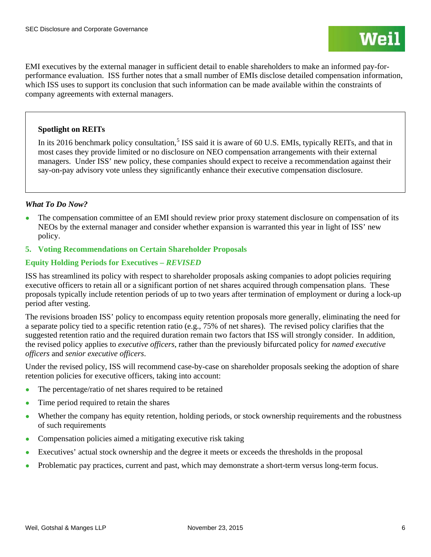EMI executives by the external manager in sufficient detail to enable shareholders to make an informed pay-forperformance evaluation. ISS further notes that a small number of EMIs disclose detailed compensation information, which ISS uses to support its conclusion that such information can be made available within the constraints of company agreements with external managers.

# **Spotlight on REITs**

In its 2016 benchmark policy consultation,<sup>[5](#page-13-0)</sup> ISS said it is aware of 60 U.S. EMIs, typically REITs, and that in most cases they provide limited or no disclosure on NEO compensation arrangements with their external managers. Under ISS' new policy, these companies should expect to receive a recommendation against their say-on-pay advisory vote unless they significantly enhance their executive compensation disclosure.

# *What To Do Now?*

- The compensation committee of an EMI should review prior proxy statement disclosure on compensation of its NEOs by the external manager and consider whether expansion is warranted this year in light of ISS' new policy.
- **5. Voting Recommendations on Certain Shareholder Proposals**

# **Equity Holding Periods for Executives –** *REVISED*

ISS has streamlined its policy with respect to shareholder proposals asking companies to adopt policies requiring executive officers to retain all or a significant portion of net shares acquired through compensation plans. These proposals typically include retention periods of up to two years after termination of employment or during a lock-up period after vesting.

The revisions broaden ISS' policy to encompass equity retention proposals more generally, eliminating the need for a separate policy tied to a specific retention ratio (e.g., 75% of net shares). The revised policy clarifies that the suggested retention ratio and the required duration remain two factors that ISS will strongly consider. In addition, the revised policy applies to *executive officers*, rather than the previously bifurcated policy for *named executive officers* and *senior executive officers*.

Under the revised policy, ISS will recommend case-by-case on shareholder proposals seeking the adoption of share retention policies for executive officers, taking into account:

- The percentage/ratio of net shares required to be retained
- Time period required to retain the shares
- Whether the company has equity retention, holding periods, or stock ownership requirements and the robustness of such requirements
- Compensation policies aimed a mitigating executive risk taking
- Executives' actual stock ownership and the degree it meets or exceeds the thresholds in the proposal
- Problematic pay practices, current and past, which may demonstrate a short-term versus long-term focus.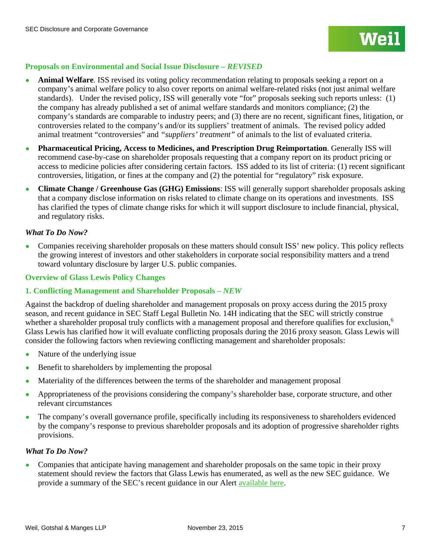# **Proposals on Environmental and Social Issue Disclosure –** *REVISED*

- **Animal Welfare.** ISS revised its voting policy recommendation relating to proposals seeking a report on a company's animal welfare policy to also cover reports on animal welfare-related risks (not just animal welfare standards). Under the revised policy, ISS will generally vote "for" proposals seeking such reports unless: (1) the company has already published a set of animal welfare standards and monitors compliance; (2) the company's standards are comparable to industry peers; and (3) there are no recent, significant fines, litigation, or controversies related to the company's and/or its suppliers' treatment of animals. The revised policy added animal treatment "controversies" and *"suppliers' treatment"* of animals to the list of evaluated criteria.
- **Pharmaceutical Pricing, Access to Medicines, and Prescription Drug Reimportation**. Generally ISS will recommend case-by-case on shareholder proposals requesting that a company report on its product pricing or access to medicine policies after considering certain factors. ISS added to its list of criteria: (1) recent significant controversies, litigation, or fines at the company and (2) the potential for "regulatory" risk exposure.
- **Climate Change / Greenhouse Gas (GHG) Emissions**: ISS will generally support shareholder proposals asking that a company disclose information on risks related to climate change on its operations and investments. ISS has clarified the types of climate change risks for which it will support disclosure to include financial, physical, and regulatory risks.

# *What To Do Now?*

Companies receiving shareholder proposals on these matters should consult ISS' new policy. This policy reflects the growing interest of investors and other stakeholders in corporate social responsibility matters and a trend toward voluntary disclosure by larger U.S. public companies.

# **Overview of Glass Lewis Policy Changes**

# **1. Conflicting Management and Shareholder Proposals –** *NEW*

Against the backdrop of dueling shareholder and management proposals on proxy access during the 2015 proxy season, and recent guidance in SEC Staff Legal Bulletin No. 14H indicating that the SEC will strictly construe whether a shareholder proposal truly conflicts with a management proposal and therefore qualifies for exclusion,<sup>[6](#page-13-1)</sup> Glass Lewis has clarified how it will evaluate conflicting proposals during the 2016 proxy season. Glass Lewis will consider the following factors when reviewing conflicting management and shareholder proposals:

- Nature of the underlying issue
- Benefit to shareholders by implementing the proposal
- Materiality of the differences between the terms of the shareholder and management proposal
- Appropriateness of the provisions considering the company's shareholder base, corporate structure, and other relevant circumstances
- The company's overall governance profile, specifically including its responsiveness to shareholders evidenced by the company's response to previous shareholder proposals and its adoption of progressive shareholder rights provisions.

# *What To Do Now?*

• Companies that anticipate having management and shareholder proposals on the same topic in their proxy statement should review the factors that Glass Lewis has enumerated, as well as the new SEC guidance. We provide a summary of the SEC's recent guidance in our Alert [available](http://www.weil.com/%7E/media/publications/sec-disclosure-corporate-governance/pcag_alert_oct2015.pdf) here.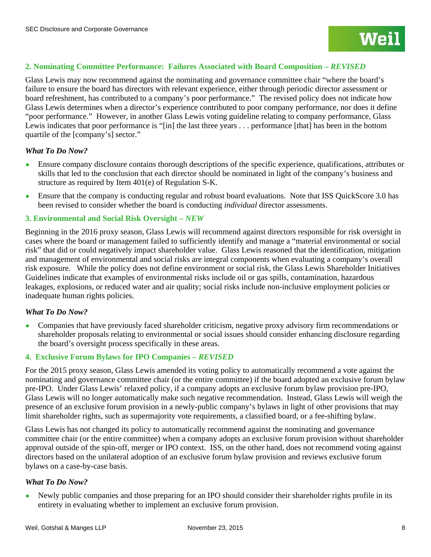# **2. Nominating Committee Performance: Failures Associated with Board Composition –** *REVISED*

Glass Lewis may now recommend against the nominating and governance committee chair "where the board's failure to ensure the board has directors with relevant experience, either through periodic director assessment or board refreshment, has contributed to a company's poor performance." The revised policy does not indicate how Glass Lewis determines when a director's experience contributed to poor company performance, nor does it define "poor performance." However, in another Glass Lewis voting guideline relating to company performance, Glass Lewis indicates that poor performance is "[in] the last three years . . . performance [that] has been in the bottom quartile of the [company's] sector."

#### *What To Do Now?*

- Ensure company disclosure contains thorough descriptions of the specific experience, qualifications, attributes or skills that led to the conclusion that each director should be nominated in light of the company's business and structure as required by Item 401(e) of Regulation S-K.
- Ensure that the company is conducting regular and robust board evaluations. Note that ISS QuickScore 3.0 has been revised to consider whether the board is conducting *individual* director assessments.

# **3. Environmental and Social Risk Oversight –** *NEW*

Beginning in the 2016 proxy season, Glass Lewis will recommend against directors responsible for risk oversight in cases where the board or management failed to sufficiently identify and manage a "material environmental or social risk" that did or could negatively impact shareholder value. Glass Lewis reasoned that the identification, mitigation and management of environmental and social risks are integral components when evaluating a company's overall risk exposure. While the policy does not define environment or social risk, the Glass Lewis Shareholder Initiatives Guidelines indicate that examples of environmental risks include oil or gas spills, contamination, hazardous leakages, explosions, or reduced water and air quality; social risks include non-inclusive employment policies or inadequate human rights policies.

#### *What To Do Now?*

● Companies that have previously faced shareholder criticism, negative proxy advisory firm recommendations or shareholder proposals relating to environmental or social issues should consider enhancing disclosure regarding the board's oversight process specifically in these areas.

#### **4. Exclusive Forum Bylaws for IPO Companies –** *REVISED*

For the 2015 proxy season, Glass Lewis amended its voting policy to automatically recommend a vote against the nominating and governance committee chair (or the entire committee) if the board adopted an exclusive forum bylaw pre-IPO. Under Glass Lewis' relaxed policy, if a company adopts an exclusive forum bylaw provision pre-IPO, Glass Lewis will no longer automatically make such negative recommendation. Instead, Glass Lewis will weigh the presence of an exclusive forum provision in a newly-public company's bylaws in light of other provisions that may limit shareholder rights, such as supermajority vote requirements, a classified board, or a fee-shifting bylaw.

Glass Lewis has not changed its policy to automatically recommend against the nominating and governance committee chair (or the entire committee) when a company adopts an exclusive forum provision without shareholder approval outside of the spin-off, merger or IPO context. ISS, on the other hand, does not recommend voting against directors based on the unilateral adoption of an exclusive forum bylaw provision and reviews exclusive forum bylaws on a case-by-case basis.

#### *What To Do Now?*

Newly public companies and those preparing for an IPO should consider their shareholder rights profile in its entirety in evaluating whether to implement an exclusive forum provision.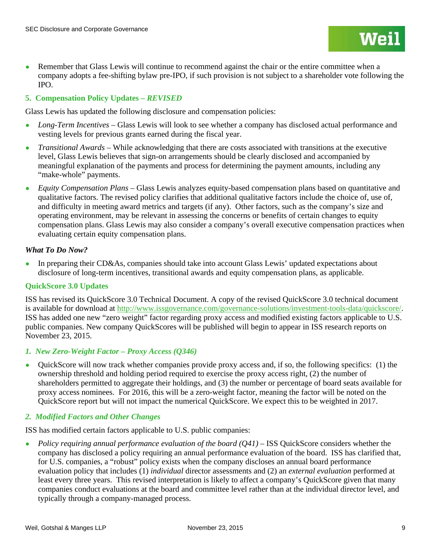• Remember that Glass Lewis will continue to recommend against the chair or the entire committee when a company adopts a fee-shifting bylaw pre-IPO, if such provision is not subject to a shareholder vote following the IPO.

# **5. Compensation Policy Updates –** *REVISED*

Glass Lewis has updated the following disclosure and compensation policies:

- *Long-Term Incentives* Glass Lewis will look to see whether a company has disclosed actual performance and vesting levels for previous grants earned during the fiscal year.
- *Transitional Awards* While acknowledging that there are costs associated with transitions at the executive level, Glass Lewis believes that sign-on arrangements should be clearly disclosed and accompanied by meaningful explanation of the payments and process for determining the payment amounts, including any "make-whole" payments.
- *Equity Compensation Plans*  Glass Lewis analyzes equity-based compensation plans based on quantitative and qualitative factors. The revised policy clarifies that additional qualitative factors include the choice of, use of, and difficulty in meeting award metrics and targets (if any). Other factors, such as the company's size and operating environment, may be relevant in assessing the concerns or benefits of certain changes to equity compensation plans. Glass Lewis may also consider a company's overall executive compensation practices when evaluating certain equity compensation plans.

# *What To Do Now?*

• In preparing their CD&As, companies should take into account Glass Lewis' updated expectations about disclosure of long-term incentives, transitional awards and equity compensation plans, as applicable.

# **QuickScore 3.0 Updates**

ISS has revised its QuickScore 3.0 Technical Document. A copy of the revised QuickScore 3.0 technical document is available for download at [http://www.issgovernance.com/governance-solutions/investment-tools-data/quickscore/.](http://www.issgovernance.com/governance-solutions/investment-tools-data/quickscore/) ISS has added one new "zero weight" factor regarding proxy access and modified existing factors applicable to U.S. public companies. New company QuickScores will be published will begin to appear in ISS research reports on November 23, 2015.

# *1. New Zero-Weight Factor – Proxy Access (Q346)*

● QuickScore will now track whether companies provide proxy access and, if so, the following specifics: (1) the ownership threshold and holding period required to exercise the proxy access right, (2) the number of shareholders permitted to aggregate their holdings, and (3) the number or percentage of board seats available for proxy access nominees. For 2016, this will be a zero-weight factor, meaning the factor will be noted on the QuickScore report but will not impact the numerical QuickScore. We expect this to be weighted in 2017.

# *2. Modified Factors and Other Changes*

ISS has modified certain factors applicable to U.S. public companies:

*Policy requiring annual performance evaluation of the board (O41)* – ISS QuickScore considers whether the company has disclosed a policy requiring an annual performance evaluation of the board. ISS has clarified that, for U.S. companies, a "robust" policy exists when the company discloses an annual board performance evaluation policy that includes (1) *individual* director assessments and (2) an *external evaluation* performed at least every three years. This revised interpretation is likely to affect a company's QuickScore given that many companies conduct evaluations at the board and committee level rather than at the individual director level, and typically through a company-managed process.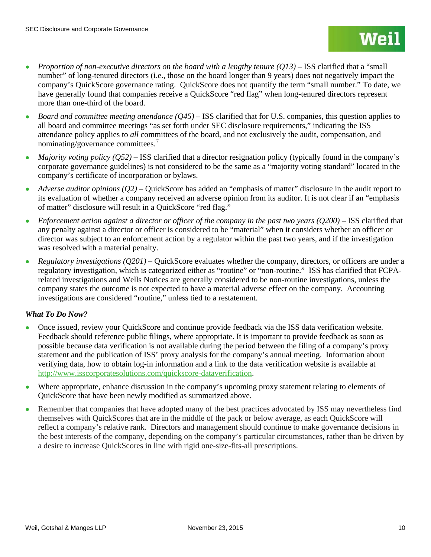- *Proportion of non-executive directors on the board with a lengthy tenure (O13)* ISS clarified that a "small number" of long-tenured directors (i.e., those on the board longer than 9 years) does not negatively impact the company's QuickScore governance rating. QuickScore does not quantify the term "small number." To date, we have generally found that companies receive a QuickScore "red flag" when long-tenured directors represent more than one-third of the board.
- *Board and committee meeting attendance (O45)* ISS clarified that for U.S. companies, this question applies to all board and committee meetings "as set forth under SEC disclosure requirements," indicating the ISS attendance policy applies to *all* committees of the board, and not exclusively the audit, compensation, and nominating/governance committees.<sup>[7](#page-14-0)</sup>
- *Majority voting policy (O52)* ISS clarified that a director resignation policy (typically found in the company's corporate governance guidelines) is not considered to be the same as a "majority voting standard" located in the company's certificate of incorporation or bylaws.
- *Adverse auditor opinions (Q2)* QuickScore has added an "emphasis of matter" disclosure in the audit report to its evaluation of whether a company received an adverse opinion from its auditor. It is not clear if an "emphasis of matter" disclosure will result in a QuickScore "red flag."
- *Enforcement action against a director or officer of the company in the past two years*  $(Q200)$  *ISS clarified that* any penalty against a director or officer is considered to be "material" when it considers whether an officer or director was subject to an enforcement action by a regulator within the past two years, and if the investigation was resolved with a material penalty.
- *Regulatory investigations (Q201)*  QuickScore evaluates whether the company, directors, or officers are under a regulatory investigation, which is categorized either as "routine" or "non-routine." ISS has clarified that FCPArelated investigations and Wells Notices are generally considered to be non-routine investigations, unless the company states the outcome is not expected to have a material adverse effect on the company. Accounting investigations are considered "routine," unless tied to a restatement.

# *What To Do Now?*

- Once issued, review your QuickScore and continue provide feedback via the ISS data verification website. Feedback should reference public filings, where appropriate. It is important to provide feedback as soon as possible because data verification is not available during the period between the filing of a company's proxy statement and the publication of ISS' proxy analysis for the company's annual meeting. Information about verifying data, how to obtain log-in information and a link to the data verification website is available at [http://www.isscorporatesolutions.com/quickscore-dataverification.](http://www.isscorporatesolutions.com/quickscore-dataverification)
- Where appropriate, enhance discussion in the company's upcoming proxy statement relating to elements of QuickScore that have been newly modified as summarized above.
- Remember that companies that have adopted many of the best practices advocated by ISS may nevertheless find themselves with QuickScores that are in the middle of the pack or below average, as each QuickScore will reflect a company's relative rank. Directors and management should continue to make governance decisions in the best interests of the company, depending on the company's particular circumstances, rather than be driven by a desire to increase QuickScores in line with rigid one-size-fits-all prescriptions.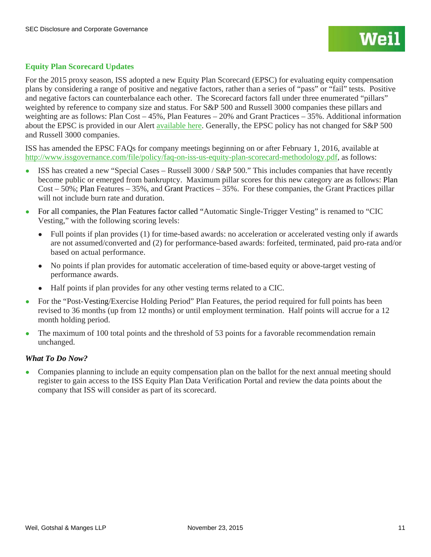# **Equity Plan Scorecard Updates**

For the 2015 proxy season, ISS adopted a new Equity Plan Scorecard (EPSC) for evaluating equity compensation plans by considering a range of positive and negative factors, rather than a series of "pass" or "fail" tests. Positive and negative factors can counterbalance each other. The Scorecard factors fall under three enumerated "pillars" weighted by reference to company size and status. For S&P 500 and Russell 3000 companies these pillars and weighting are as follows: Plan Cost – 45%, Plan Features – 20% and Grant Practices – 35%. Additional information about the EPSC is provided in our Alert [available here.](http://www.weil.com/%7E/media/files/pdfs/pcag_alert_nov2014.pdf) Generally, the EPSC policy has not changed for S&P 500 and Russell 3000 companies.

ISS has amended the EPSC FAQs for company meetings beginning on or after February 1, 2016, available at [http://www.issgovernance.com/file/policy/faq-on-iss-us-equity-plan-scorecard-methodology.pdf,](http://www.issgovernance.com/file/policy/faq-on-iss-us-equity-plan-scorecard-methodology.pdf) as follows:

- ISS has created a new "Special Cases Russell 3000 / S&P 500." This includes companies that have recently become public or emerged from bankruptcy. Maximum pillar scores for this new category are as follows: Plan Cost – 50%; Plan Features – 35%, and Grant Practices – 35%. For these companies, the Grant Practices pillar will not include burn rate and duration.
- For all companies, the Plan Features factor called "Automatic Single-Trigger Vesting" is renamed to "CIC Vesting," with the following scoring levels:
	- Full points if plan provides (1) for time-based awards: no acceleration or accelerated vesting only if awards are not assumed/converted and (2) for performance-based awards: forfeited, terminated, paid pro-rata and/or based on actual performance.
	- No points if plan provides for automatic acceleration of time-based equity or above-target vesting of performance awards.
	- Half points if plan provides for any other vesting terms related to a CIC.
- For the "Post-Vesting/Exercise Holding Period" Plan Features, the period required for full points has been revised to 36 months (up from 12 months) or until employment termination. Half points will accrue for a 12 month holding period.
- The maximum of 100 total points and the threshold of 53 points for a favorable recommendation remain unchanged.

# *What To Do Now?*

• Companies planning to include an equity compensation plan on the ballot for the next annual meeting should register to gain access to the ISS Equity Plan Data Verification Portal and review the data points about the company that ISS will consider as part of its scorecard.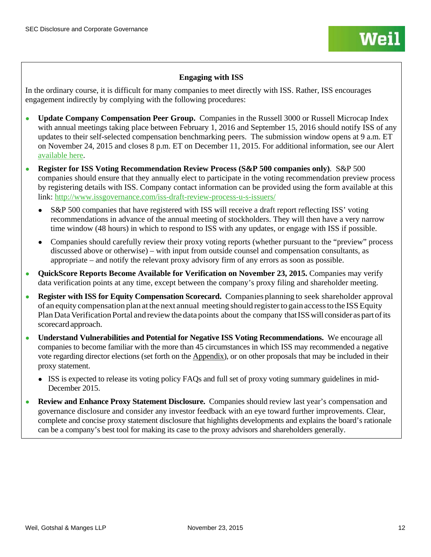# **Engaging with ISS**

In the ordinary course, it is difficult for many companies to meet directly with ISS. Rather, ISS encourages engagement indirectly by complying with the following procedures:

- **Update Company Compensation Peer Group.** Companies in the Russell 3000 or Russell Microcap Index with annual meetings taking place between February 1, 2016 and September 15, 2016 should notify ISS of any updates to their self-selected compensation benchmarking peers. The submission window opens at 9 a.m. ET on November 24, 2015 and closes 8 p.m. ET on December 11, 2015. For additional information, see our Alert [available here.](http://www.weil.com/%7E/media/publications/sec-disclosure-corporate-governance/pcag_alert_nov2015.pdf)
- **Register for ISS Voting Recommendation Review Process (S&P 500 companies only)**. S&P 500 companies should ensure that they annually elect to participate in the voting recommendation preview process by registering details with ISS. Company contact information can be provided using the form available at this link:<http://www.issgovernance.com/iss-draft-review-process-u-s-issuers/>
	- S&P 500 companies that have registered with ISS will receive a draft report reflecting ISS' voting recommendations in advance of the annual meeting of stockholders. They will then have a very narrow time window (48 hours) in which to respond to ISS with any updates, or engage with ISS if possible.
	- Companies should carefully review their proxy voting reports (whether pursuant to the "preview" process discussed above or otherwise) – with input from outside counsel and compensation consultants, as appropriate – and notify the relevant proxy advisory firm of any errors as soon as possible.
- **QuickScore Reports Become Available for Verification on November 23, 2015.** Companies may verify data verification points at any time, except between the company's proxy filing and shareholder meeting.
- **Register with ISS for Equity Compensation Scorecard.** Companies planning to seek shareholder approval of an equity compensation plan at the next annual meeting should registerto gain accessto the ISSEquity Plan Data Verification Portal and review the data points about the company that ISS will consider as part of its scorecardapproach.
- **Understand Vulnerabilities and Potential for Negative ISS Voting Recommendations.** We encourage all companies to become familiar with the more than 45 circumstances in which ISS may recommended a negative vote regarding director elections (set forth on the Appendix), or on other proposals that may be included in their proxy statement.
	- ISS is expected to release its voting policy FAQs and full set of proxy voting summary guidelines in mid-December 2015.
- **Review and Enhance Proxy Statement Disclosure.** Companies should review last year's compensation and governance disclosure and consider any investor feedback with an eye toward further improvements. Clear, complete and concise proxy statement disclosure that highlights developments and explains the board's rationale can be a company's best tool for making its case to the proxy advisors and shareholders generally.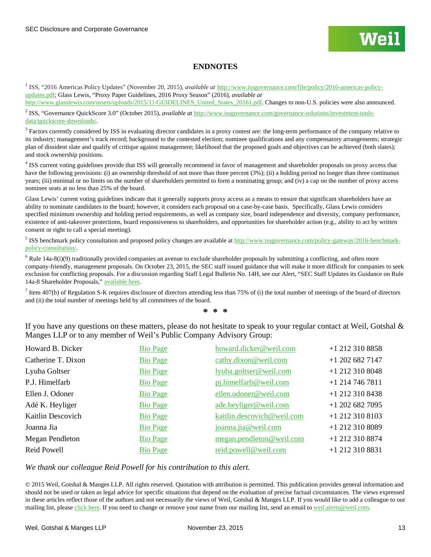# **ENDNOTES**

<span id="page-12-0"></span><sup>1</sup> ISS, "2016 Americas Policy Updates" (November 20, 2015), *available at* [http://www.issgovernance.com/file/policy/2016-americas-policy](http://www.issgovernance.com/file/policy/2016-americas-policy-updates.pdf)[updates.pdf;](http://www.issgovernance.com/file/policy/2016-americas-policy-updates.pdf) Glass Lewis, "Proxy Paper Guidelines, 2016 Proxy Season" (2016), *available at*  http://www.glasslewis.com/assets/uploads/2015/11/GUIDELINES United States 20161.pdf. Changes to non-U.S. policies were also announced.

<span id="page-12-1"></span><sup>2</sup> ISS, "Governance QuickScore 3.0" (October 2015), *available at* [http://www.issgovernance.com/governance-solutions/investment-tools](http://www.issgovernance.com/governance-solutions/investment-tools-data/quickscore-downloads/)[data/quickscore-downloads/.](http://www.issgovernance.com/governance-solutions/investment-tools-data/quickscore-downloads/)

<span id="page-12-2"></span><sup>3</sup> Factors currently considered by ISS in evaluating director candidates in a proxy contest are: the long-term performance of the company relative to its industry; management's track record; background to the contested election; nominee qualifications and any compensatory arrangements; strategic plan of dissident slate and qualify of critique against management; likelihood that the proposed goals and objectives can be achieved (both slates); and stock ownership positions.

<span id="page-12-3"></span><sup>4</sup> ISS current voting guidelines provide that ISS will generally recommend in favor of management and shareholder proposals on proxy access that have the following provisions: (i) an ownership threshold of not more than three percent (3%); (ii) a holding period no longer than three continuous years; (iii) minimal or no limits on the number of shareholders permitted to form a nominating group; and (iv) a cap on the number of proxy access nominee seats at no less than 25% of the board.

Glass Lewis' current voting guidelines indicate that it generally supports proxy access as a means to ensure that significant shareholders have an ability to nominate candidates to the board; however, it considers each proposal on a case-by-case basis. Specifically, Glass Lewis considers specified minimum ownership and holding period requirements, as well as company size, board independence and diversity, company performance, existence of anti-takeover protections, board responsiveness to shareholders, and opportunities for shareholder action (e.g., ability to act by written consent or right to call a special meeting).

<sup>5</sup> ISS benchmark policy consultation and proposed policy changes are available at [http://www.issgovernance.com/policy-gateway/2016-benchmark](http://www.issgovernance.com/policy-gateway/2016-benchmark-policy-consultation/)[policy-consultation/.](http://www.issgovernance.com/policy-gateway/2016-benchmark-policy-consultation/)

 $6$  Rule 14a-8(i)(9) traditionally provided companies an avenue to exclude shareholder proposals by submitting a conflicting, and often more company-friendly, management proposals. On October 23, 2015, the SEC staff issued guidance that will make it more difficult for companies to seek exclusion for conflicting proposals. For a discussion regarding Staff Legal Bulletin No. 14H, see our Alert, "SEC Staff Updates its Guidance on Rule 14a-8 Shareholder Proposals," [available here](http://www.weil.com/%7E/media/publications/sec-disclosure-corporate-governance/pcag_alert_oct2015.pdf)*.* 

 $<sup>7</sup>$  Item 407(b) of Regulation S-K requires disclosure of directors attending less than 75% of (i) the total number of meetings of the board of directors</sup> and (ii) the total number of meetings held by all committees of the board.

**\* \* \***

If you have any questions on these matters, please do not hesitate to speak to your regular contact at Weil, Gotshal & Manges LLP or to any member of Weil's Public Company Advisory Group:

| Howard B. Dicker   | <b>Bio Page</b> | howard.dicker@weil.com     | +1 212 310 8858   |
|--------------------|-----------------|----------------------------|-------------------|
| Catherine T. Dixon | <b>Bio Page</b> | cathy.dixon@weil.com       | $+1$ 202 682 7147 |
| Lyuba Goltser      | <b>Bio Page</b> | lyuba.goltser@weil.com     | $+1$ 212 310 8048 |
| P.J. Himelfarb     | <b>Bio Page</b> | pj.himelfarb@weil.com      | $+1$ 214 746 7811 |
| Ellen J. Odoner    | <b>Bio Page</b> | ellen.odoner@weil.com      | +1 212 310 8438   |
| Adé K. Heyliger    | <b>Bio Page</b> | ade.heyliger@weil.com      | $+1$ 202 682 7095 |
| Kaitlin Descovich  | <b>Bio Page</b> | kaitlin.descovich@weil.com | $+1$ 212 310 8103 |
| Joanna Jia         | <b>Bio Page</b> | joanna.jia@weil.com        | +1 212 310 8089   |
| Megan Pendleton    | <b>Bio Page</b> | megan.pendleton@weil.com   | +1 212 310 8874   |
| Reid Powell        | <b>Bio Page</b> | reid.powell@weil.com       | $+1$ 212 310 8831 |

*We thank our colleague Reid Powell for his contribution to this alert.*

© 2015 Weil, Gotshal & Manges LLP. All rights reserved. Quotation with attribution is permitted. This publication provides general information and should not be used or taken as legal advice for specific situations that depend on the evaluation of precise factual circumstances. The views expressed in these articles reflect those of the authors and not necessarily the views of Weil, Gotshal & Manges LLP. If you would like to add a colleague to our mailing list, please [click here.](https://interact.weil.com/reaction/RSGenPage.asp?RSID=8C8408E4C1EC1D85C2291B25C4111DB9A3432810B098665FD786811) If you need to change or remove your name from our mailing list, send an email t[o weil.alerts@weil.com.](mailto:weil.alerts@weil.com)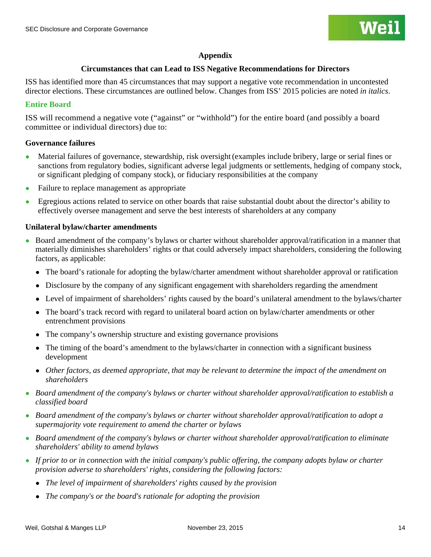# **Appendix**

# **Circumstances that can Lead to ISS Negative Recommendations for Directors**

ISS has identified more than 45 circumstances that may support a negative vote recommendation in uncontested director elections. These circumstances are outlined below. Changes from ISS' 2015 policies are noted *in italics*.

# **Entire Board**

ISS will recommend a negative vote ("against" or "withhold") for the entire board (and possibly a board committee or individual directors) due to:

# **Governance failures**

- Material failures of governance, stewardship, risk oversight (examples include bribery, large or serial fines or sanctions from regulatory bodies, significant adverse legal judgments or settlements, hedging of company stock, or significant pledging of company stock), or fiduciary responsibilities at the company
- Failure to replace management as appropriate
- Egregious actions related to service on other boards that raise substantial doubt about the director's ability to effectively oversee management and serve the best interests of shareholders at any company

# **Unilateral bylaw/charter amendments**

- <span id="page-13-1"></span><span id="page-13-0"></span>● Board amendment of the company's bylaws or charter without shareholder approval/ratification in a manner that materially diminishes shareholders' rights or that could adversely impact shareholders, considering the following factors, as applicable:
	- The board's rationale for adopting the bylaw/charter amendment without shareholder approval or ratification
	- Disclosure by the company of any significant engagement with shareholders regarding the amendment
	- Level of impairment of shareholders' rights caused by the board's unilateral amendment to the bylaws/charter
	- The board's track record with regard to unilateral board action on bylaw/charter amendments or other entrenchment provisions
	- The company's ownership structure and existing governance provisions
	- The timing of the board's amendment to the bylaws/charter in connection with a significant business development
	- *Other factors, as deemed appropriate, that may be relevant to determine the impact of the amendment on shareholders*
- Board amendment of the company's bylaws or charter without shareholder approval/ratification to establish a *classified board*
- *Board amendment of the company's bylaws or charter without shareholder approval/ratification to adopt a supermajority vote requirement to amend the charter or bylaws*
- *Board amendment of the company's bylaws or charter without shareholder approval/ratification to eliminate shareholders' ability to amend bylaws*
- *If prior to or in connection with the initial company's public offering, the company adopts bylaw or charter provision adverse to shareholders' rights, considering the following factors:*
	- *The level of impairment of shareholders' rights caused by the provision*
	- *The company's or the board's rationale for adopting the provision*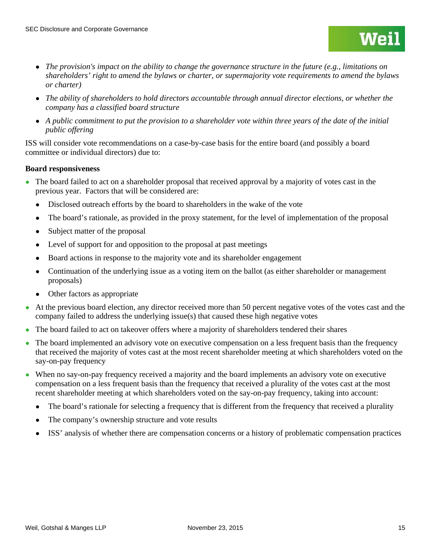- *The ability of shareholders to hold directors accountable through annual director elections, or whether the company has a classified board structure*
- *A public commitment to put the provision to a shareholder vote within three years of the date of the initial public offering*

ISS will consider vote recommendations on a case-by-case basis for the entire board (and possibly a board committee or individual directors) due to:

# **Board responsiveness**

- The board failed to act on a shareholder proposal that received approval by a majority of votes cast in the previous year. Factors that will be considered are:
	- Disclosed outreach efforts by the board to shareholders in the wake of the vote
	- The board's rationale, as provided in the proxy statement, for the level of implementation of the proposal
	- Subject matter of the proposal
	- Level of support for and opposition to the proposal at past meetings
	- Board actions in response to the majority vote and its shareholder engagement
	- Continuation of the underlying issue as a voting item on the ballot (as either shareholder or management proposals)
	- Other factors as appropriate
- <span id="page-14-0"></span>● At the previous board election, any director received more than 50 percent negative votes of the votes cast and the company failed to address the underlying issue(s) that caused these high negative votes
- The board failed to act on takeover offers where a majority of shareholders tendered their shares
- The board implemented an advisory vote on executive compensation on a less frequent basis than the frequency that received the majority of votes cast at the most recent shareholder meeting at which shareholders voted on the say-on-pay frequency
- When no say-on-pay frequency received a majority and the board implements an advisory vote on executive compensation on a less frequent basis than the frequency that received a plurality of the votes cast at the most recent shareholder meeting at which shareholders voted on the say-on-pay frequency, taking into account:
	- The board's rationale for selecting a frequency that is different from the frequency that received a plurality
	- The company's ownership structure and vote results
	- ISS' analysis of whether there are compensation concerns or a history of problematic compensation practices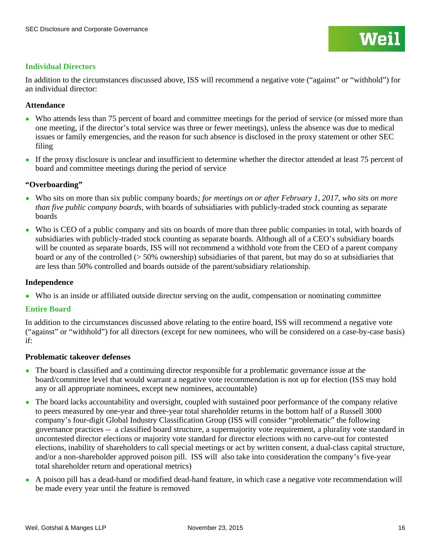# **Individual Directors**

In addition to the circumstances discussed above, ISS will recommend a negative vote ("against" or "withhold") for an individual director:

# **Attendance**

- Who attends less than 75 percent of board and committee meetings for the period of service (or missed more than one meeting, if the director's total service was three or fewer meetings), unless the absence was due to medical issues or family emergencies, and the reason for such absence is disclosed in the proxy statement or other SEC filing
- If the proxy disclosure is unclear and insufficient to determine whether the director attended at least 75 percent of board and committee meetings during the period of service

# **"Overboarding"**

- Who sits on more than six public company boards*; for meetings on or after February 1, 2017, who sits on more than five public company boards,* with boards of subsidiaries with publicly-traded stock counting as separate boards
- Who is CEO of a public company and sits on boards of more than three public companies in total, with boards of subsidiaries with publicly-traded stock counting as separate boards. Although all of a CEO's subsidiary boards will be counted as separate boards, ISS will not recommend a withhold vote from the CEO of a parent company board or any of the controlled (> 50% ownership) subsidiaries of that parent, but may do so at subsidiaries that are less than 50% controlled and boards outside of the parent/subsidiary relationship.

# **Independence**

● Who is an inside or affiliated outside director serving on the audit, compensation or nominating committee

# **Entire Board**

In addition to the circumstances discussed above relating to the entire board, ISS will recommend a negative vote ("against" or "withhold") for all directors (except for new nominees, who will be considered on a case-by-case basis) if:

# **Problematic takeover defenses**

- The board is classified and a continuing director responsible for a problematic governance issue at the board/committee level that would warrant a negative vote recommendation is not up for election (ISS may hold any or all appropriate nominees, except new nominees, accountable)
- The board lacks accountability and oversight, coupled with sustained poor performance of the company relative to peers measured by one-year and three-year total shareholder returns in the bottom half of a Russell 3000 company's four-digit Global Industry Classification Group (ISS will consider "problematic" the following governance practices -- a classified board structure, a supermajority vote requirement, a plurality vote standard in uncontested director elections or majority vote standard for director elections with no carve-out for contested elections, inability of shareholders to call special meetings or act by written consent, a dual-class capital structure, and/or a non-shareholder approved poison pill. ISS will also take into consideration the company's five-year total shareholder return and operational metrics)
- A poison pill has a dead-hand or modified dead-hand feature, in which case a negative vote recommendation will be made every year until the feature is removed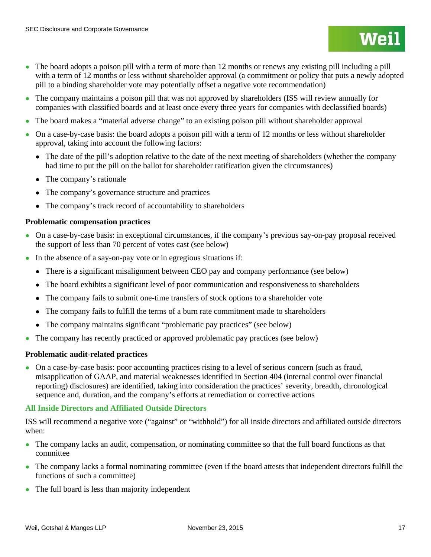- The company maintains a poison pill that was not approved by shareholders (ISS will review annually for companies with classified boards and at least once every three years for companies with declassified boards)
- The board makes a "material adverse change" to an existing poison pill without shareholder approval
- On a case-by-case basis: the board adopts a poison pill with a term of 12 months or less without shareholder approval, taking into account the following factors:
	- The date of the pill's adoption relative to the date of the next meeting of shareholders (whether the company had time to put the pill on the ballot for shareholder ratification given the circumstances)
	- The company's rationale
	- The company's governance structure and practices
	- The company's track record of accountability to shareholders

# **Problematic compensation practices**

- On a case-by-case basis: in exceptional circumstances, if the company's previous say-on-pay proposal received the support of less than 70 percent of votes cast (see below)
- In the absence of a say-on-pay vote or in egregious situations if:
	- There is a significant misalignment between CEO pay and company performance (see below)
	- The board exhibits a significant level of poor communication and responsiveness to shareholders
	- The company fails to submit one-time transfers of stock options to a shareholder vote
	- The company fails to fulfill the terms of a burn rate commitment made to shareholders
	- The company maintains significant "problematic pay practices" (see below)
- The company has recently practiced or approved problematic pay practices (see below)

# **Problematic audit-related practices**

• On a case-by-case basis: poor accounting practices rising to a level of serious concern (such as fraud, misapplication of GAAP, and material weaknesses identified in Section 404 (internal control over financial reporting) disclosures) are identified, taking into consideration the practices' severity, breadth, chronological sequence and, duration, and the company's efforts at remediation or corrective actions

# **All Inside Directors and Affiliated Outside Directors**

ISS will recommend a negative vote ("against" or "withhold") for all inside directors and affiliated outside directors when:

- The company lacks an audit, compensation, or nominating committee so that the full board functions as that committee
- The company lacks a formal nominating committee (even if the board attests that independent directors fulfill the functions of such a committee)
- The full board is less than majority independent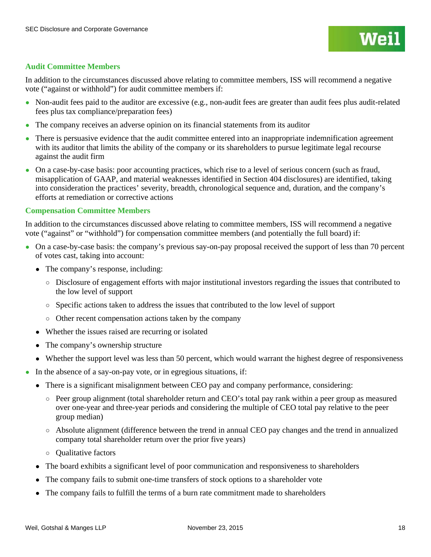# **Audit Committee Members**

In addition to the circumstances discussed above relating to committee members, ISS will recommend a negative vote ("against or withhold") for audit committee members if:

- Non-audit fees paid to the auditor are excessive (e.g., non-audit fees are greater than audit fees plus audit-related fees plus tax compliance/preparation fees)
- The company receives an adverse opinion on its financial statements from its auditor
- There is persuasive evidence that the audit committee entered into an inappropriate indemnification agreement with its auditor that limits the ability of the company or its shareholders to pursue legitimate legal recourse against the audit firm
- On a case-by-case basis: poor accounting practices, which rise to a level of serious concern (such as fraud, misapplication of GAAP, and material weaknesses identified in Section 404 disclosures) are identified, taking into consideration the practices' severity, breadth, chronological sequence and, duration, and the company's efforts at remediation or corrective actions

# **Compensation Committee Members**

In addition to the circumstances discussed above relating to committee members, ISS will recommend a negative vote ("against" or "withhold") for compensation committee members (and potentially the full board) if:

- On a case-by-case basis: the company's previous say-on-pay proposal received the support of less than 70 percent of votes cast, taking into account:
	- The company's response, including:
		- Disclosure of engagement efforts with major institutional investors regarding the issues that contributed to the low level of support
		- Specific actions taken to address the issues that contributed to the low level of support
		- Other recent compensation actions taken by the company
	- Whether the issues raised are recurring or isolated
	- The company's ownership structure
	- Whether the support level was less than 50 percent, which would warrant the highest degree of responsiveness
- In the absence of a say-on-pay vote, or in egregious situations, if:
	- There is a significant misalignment between CEO pay and company performance, considering:
		- Peer group alignment (total shareholder return and CEO's total pay rank within a peer group as measured over one-year and three-year periods and considering the multiple of CEO total pay relative to the peer group median)
		- Absolute alignment (difference between the trend in annual CEO pay changes and the trend in annualized company total shareholder return over the prior five years)
		- Qualitative factors
	- The board exhibits a significant level of poor communication and responsiveness to shareholders
	- The company fails to submit one-time transfers of stock options to a shareholder vote
	- The company fails to fulfill the terms of a burn rate commitment made to shareholders